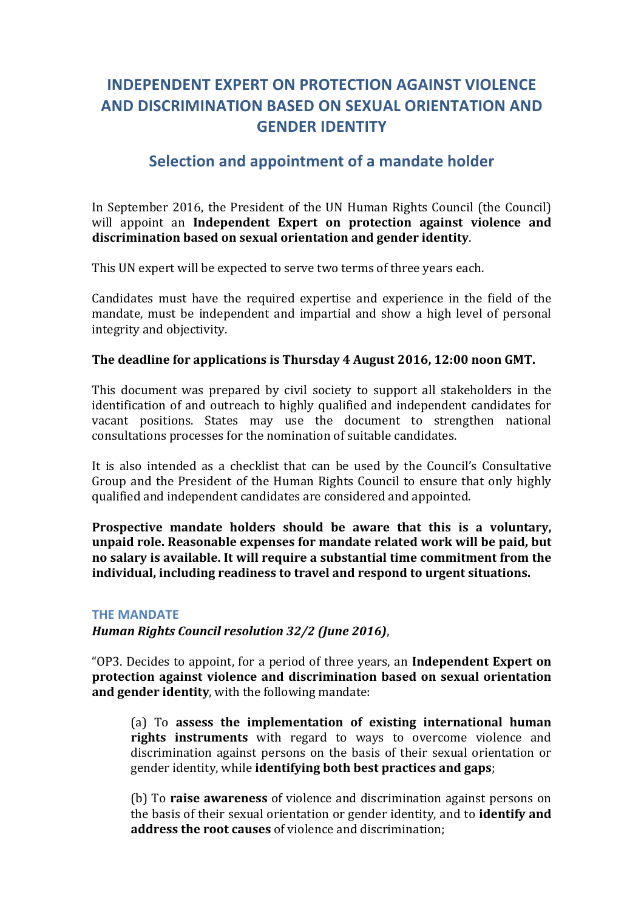# **INDEPENDENT EXPERT ON PROTECTION AGAINST VIOLENCE AND DISCRIMINATION BASED ON SEXUAL ORIENTATION AND GENDER IDENTITY**

## **Selection and appointment of a mandate holder**

In September 2016, the President of the UN Human Rights Council (the Council) will appoint an **Independent Expert on protection against violence and discrimination based on sexual orientation and gender identity**.

This UN expert will be expected to serve two terms of three years each.

Candidates must have the required expertise and experience in the field of the mandate, must be independent and impartial and show a high level of personal integrity and objectivity.

## The deadline for applications is Thursday 4 August 2016, 12:00 noon GMT.

This document was prepared by civil society to support all stakeholders in the identification of and outreach to highly qualified and independent candidates for vacant positions. States may use the document to strengthen national consultations processes for the nomination of suitable candidates.

It is also intended as a checklist that can be used by the Council's Consultative Group and the President of the Human Rights Council to ensure that only highly qualified and independent candidates are considered and appointed.

**Prospective mandate holders should be aware that this is a voluntary,** unpaid role. Reasonable expenses for mandate related work will be paid, but **no salary is available. It will require a substantial time commitment from the** individual, including readiness to travel and respond to urgent situations.

### **THE MANDATE**

*Human Rights Council resolution 32/2 (June 2016)*,

"OP3. Decides to appoint, for a period of three years, an **Independent Expert on protection against violence and discrimination based on sexual orientation and gender identity**, with the following mandate:

(a) To assess the implementation of existing international human **rights instruments** with regard to ways to overcome violence and discrimination against persons on the basis of their sexual orientation or gender identity, while **identifying both best practices and gaps**;

(b) To **raise awareness** of violence and discrimination against persons on the basis of their sexual orientation or gender identity, and to **identify and address the root causes** of violence and discrimination: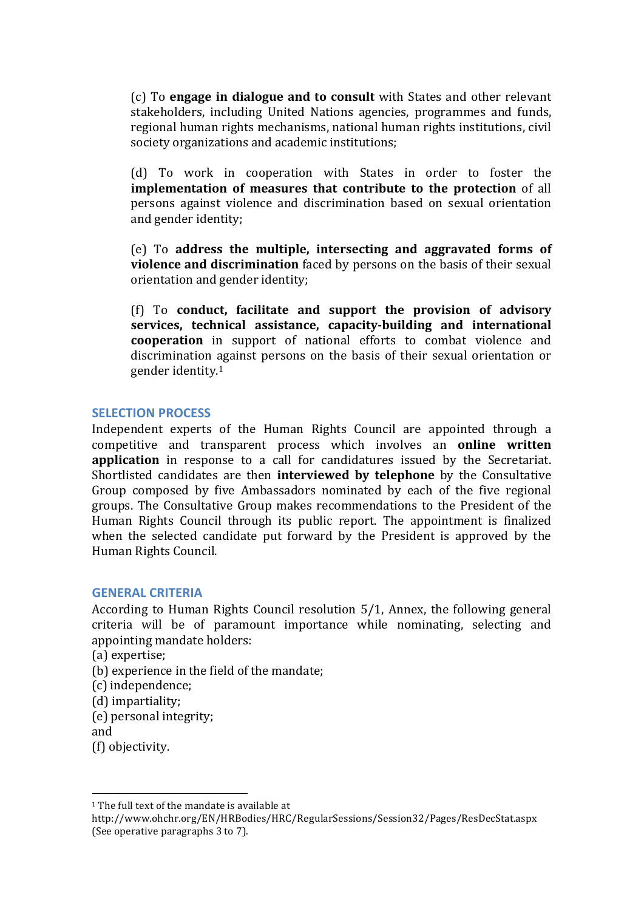(c) To **engage in dialogue and to consult** with States and other relevant stakeholders, including United Nations agencies, programmes and funds, regional human rights mechanisms, national human rights institutions, civil society organizations and academic institutions;

(d) To work in cooperation with States in order to foster the **implementation of measures that contribute to the protection** of all persons against violence and discrimination based on sexual orientation and gender identity;

(e) To **address the multiple, intersecting and aggravated forms of violence and discrimination** faced by persons on the basis of their sexual orientation and gender identity:

(f) To **conduct, facilitate and support the provision of advisory**  services, technical assistance, capacity-building and international **cooperation** in support of national efforts to combat violence and discrimination against persons on the basis of their sexual orientation or gender identity.<sup>1</sup>

### **SELECTION PROCESS**

Independent experts of the Human Rights Council are appointed through a competitive and transparent process which involves an **online written application** in response to a call for candidatures issued by the Secretariat. Shortlisted candidates are then **interviewed by telephone** by the Consultative Group composed by five Ambassadors nominated by each of the five regional groups. The Consultative Group makes recommendations to the President of the Human Rights Council through its public report. The appointment is finalized when the selected candidate put forward by the President is approved by the Human Rights Council.

#### **GENERAL CRITERIA**

According to Human Rights Council resolution 5/1, Annex, the following general criteria will be of paramount importance while nominating, selecting and appointing mandate holders:

- (a) expertise;
- (b) experience in the field of the mandate;
- (c) independence;
- (d) impartiality;
- (e) personal integrity;

and

(f) objectivity.

 

 $1$  The full text of the mandate is available at

http://www.ohchr.org/EN/HRBodies/HRC/RegularSessions/Session32/Pages/ResDecStat.aspx (See operative paragraphs 3 to 7).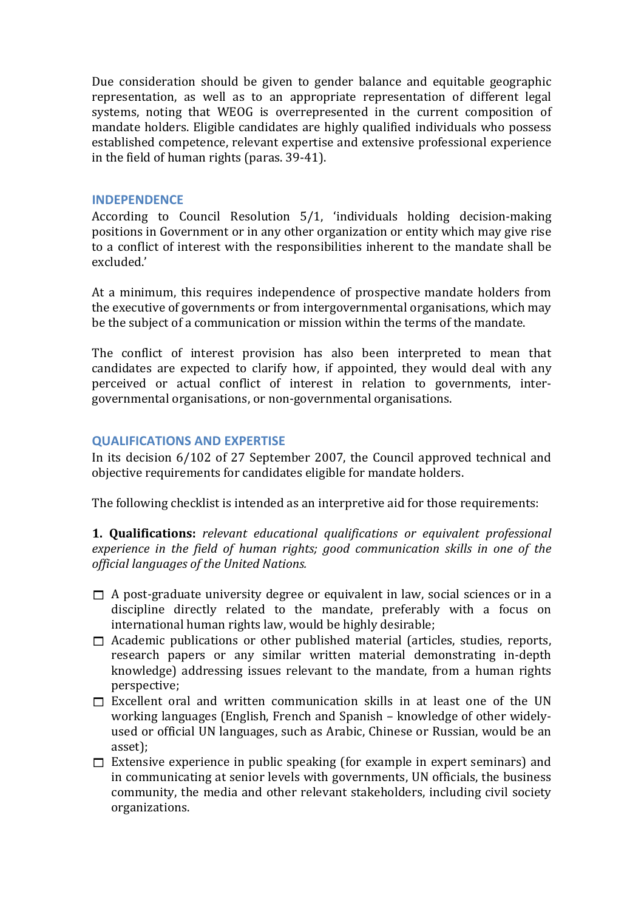Due consideration should be given to gender balance and equitable geographic representation, as well as to an appropriate representation of different legal systems, noting that WEOG is overrepresented in the current composition of mandate holders. Eligible candidates are highly qualified individuals who possess established competence, relevant expertise and extensive professional experience in the field of human rights (paras. 39-41).

## **INDEPENDENCE**

According to Council Resolution  $5/1$ , 'individuals holding decision-making positions in Government or in any other organization or entity which may give rise to a conflict of interest with the responsibilities inherent to the mandate shall be excluded.'

At a minimum, this requires independence of prospective mandate holders from the executive of governments or from intergovernmental organisations, which may be the subject of a communication or mission within the terms of the mandate.

The conflict of interest provision has also been interpreted to mean that candidates are expected to clarify how, if appointed, they would deal with any perceived or actual conflict of interest in relation to governments, intergovernmental organisations, or non-governmental organisations.

## **QUALIFICATIONS AND EXPERTISE**

In its decision  $6/102$  of 27 September 2007, the Council approved technical and objective requirements for candidates eligible for mandate holders.

The following checklist is intended as an interpretive aid for those requirements:

**1. Qualifications:** *relevant educational qualifications or equivalent professional* experience in the field of human rights; good communication skills in one of the *official languages of the United Nations.*

- $\Box$  A post-graduate university degree or equivalent in law, social sciences or in a discipline directly related to the mandate, preferably with a focus on international human rights law, would be highly desirable;
- $\Box$  Academic publications or other published material (articles, studies, reports, research papers or any similar written material demonstrating in-depth knowledge) addressing issues relevant to the mandate, from a human rights perspective;
- $\Box$  Excellent oral and written communication skills in at least one of the UN working languages (English, French and Spanish – knowledge of other widelyused or official UN languages, such as Arabic, Chinese or Russian, would be an asset);
- $\Box$  Extensive experience in public speaking (for example in expert seminars) and in communicating at senior levels with governments, UN officials, the business community, the media and other relevant stakeholders, including civil society organizations.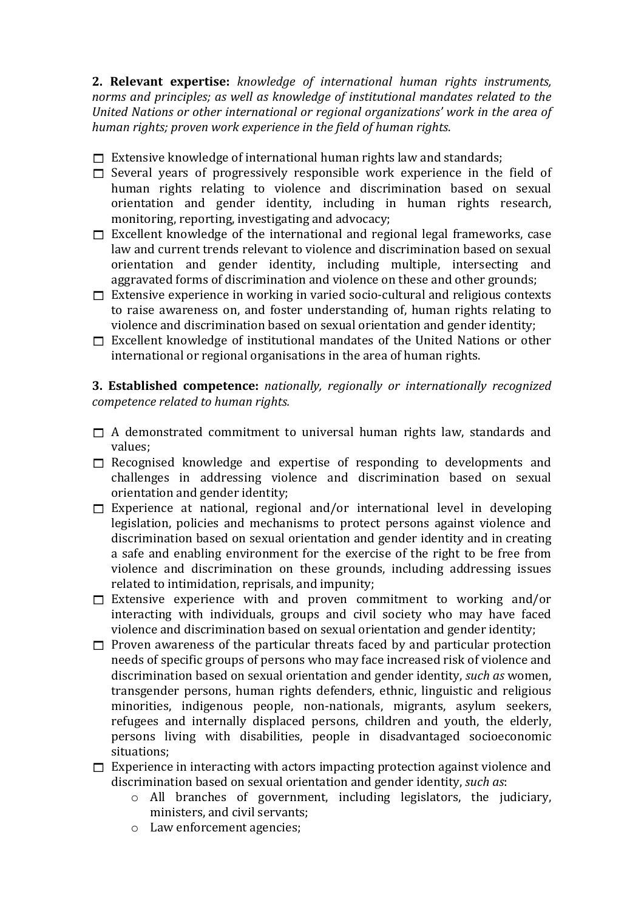**2. Relevant expertise:** *knowledge of international human rights instruments,* norms and principles; as well as knowledge of institutional mandates related to the United Nations or other international or regional organizations' work in the area of human rights; proven work experience in the field of human rights.

- $\Box$  Extensive knowledge of international human rights law and standards;
- $\Box$  Several vears of progressively responsible work experience in the field of human rights relating to violence and discrimination based on sexual orientation and gender identity, including in human rights research, monitoring, reporting, investigating and advocacy;
- $\Box$  Excellent knowledge of the international and regional legal frameworks, case law and current trends relevant to violence and discrimination based on sexual orientation and gender identity, including multiple, intersecting and aggravated forms of discrimination and violence on these and other grounds;
- $\Box$  Extensive experience in working in varied socio-cultural and religious contexts to raise awareness on, and foster understanding of, human rights relating to violence and discrimination based on sexual orientation and gender identity;
- $\Box$  Excellent knowledge of institutional mandates of the United Nations or other international or regional organisations in the area of human rights.

**3. Established competence:** *nationally, regionally or internationally recognized competence related to human rights.*

- $\Box$  A demonstrated commitment to universal human rights law, standards and values;
- $\Box$  Recognised knowledge and expertise of responding to developments and challenges in addressing violence and discrimination based on sexual orientation and gender identity;
- $\Box$  Experience at national, regional and/or international level in developing legislation, policies and mechanisms to protect persons against violence and discrimination based on sexual orientation and gender identity and in creating a safe and enabling environment for the exercise of the right to be free from violence and discrimination on these grounds, including addressing issues related to intimidation, reprisals, and impunity;
- $\Box$  Extensive experience with and proven commitment to working and/or interacting with individuals, groups and civil society who may have faced violence and discrimination based on sexual orientation and gender identity;
- $\Box$  Proven awareness of the particular threats faced by and particular protection needs of specific groups of persons who may face increased risk of violence and discrimination based on sexual orientation and gender identity, *such as* women, transgender persons, human rights defenders, ethnic, linguistic and religious minorities, indigenous people, non-nationals, migrants, asylum seekers, refugees and internally displaced persons, children and vouth, the elderly, persons living with disabilities, people in disadvantaged socioeconomic situations;
- $\Box$  Experience in interacting with actors impacting protection against violence and discrimination based on sexual orientation and gender identity, *such as*:
	- $\circ$  All branches of government, including legislators, the judiciary, ministers, and civil servants;
	- o Law enforcement agencies;